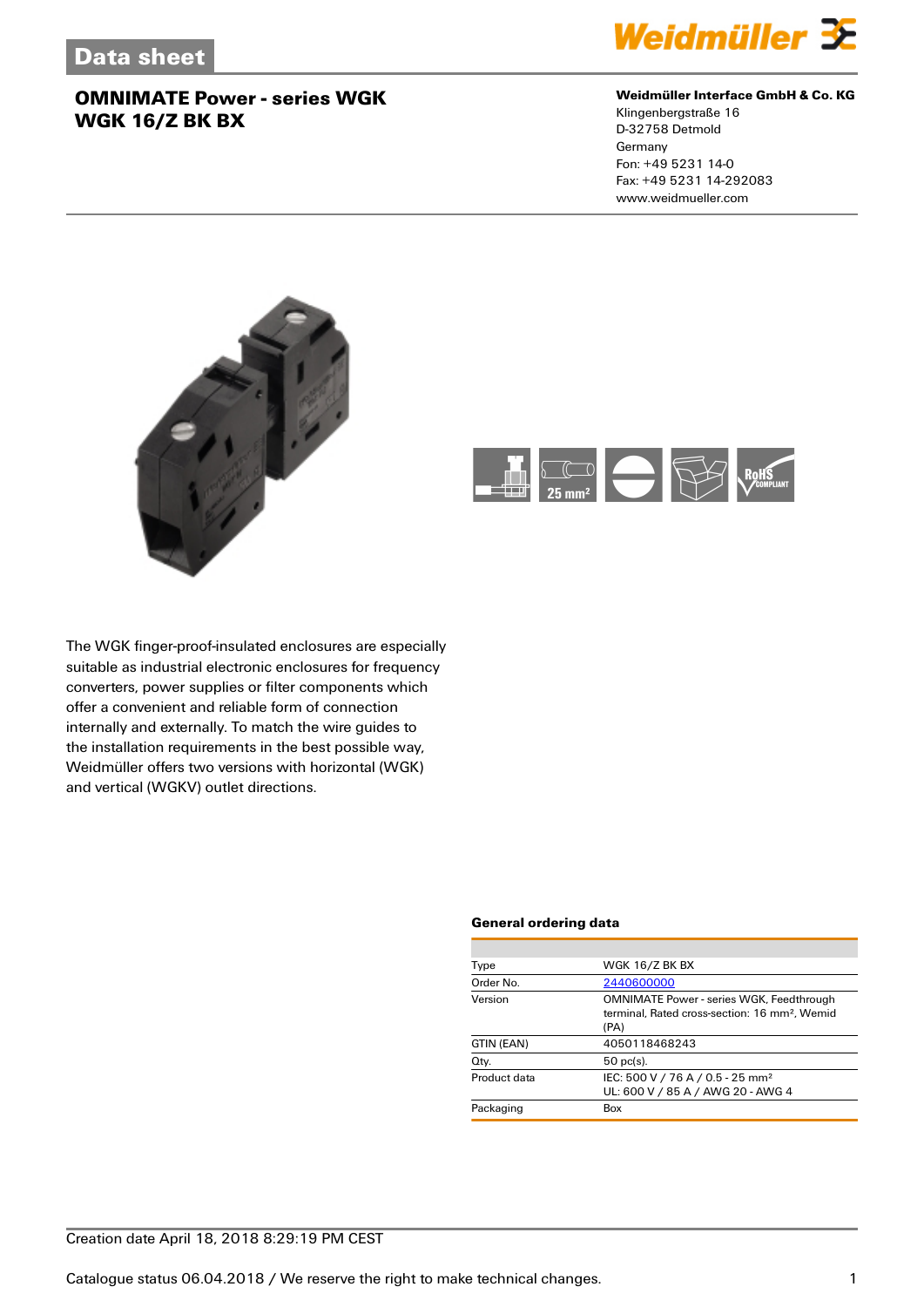

#### **Weidmüller Interface GmbH & Co. KG**

Klingenbergstraße 16 D-32758 Detmold Germany Fon: +49 5231 14-0 Fax: +49 5231 14-292083 www.weidmueller.com





The WGK finger-proof-insulated enclosures are especially suitable as industrial electronic enclosures for frequency converters, power supplies or filter components which offer a convenient and reliable form of connection internally and externally. To match the wire guides to the installation requirements in the best possible way, Weidmüller offers two versions with horizontal (WGK) and vertical (WGKV) outlet directions.

#### **General ordering data**

| Type         | <b>WGK 16/Z BK BX</b>                                                                                                |
|--------------|----------------------------------------------------------------------------------------------------------------------|
| Order No.    | 2440600000                                                                                                           |
| Version      | <b>OMNIMATE Power - series WGK, Feedthrough</b><br>terminal. Rated cross-section: 16 mm <sup>2</sup> . Wemid<br>(PA) |
| GTIN (EAN)   | 4050118468243                                                                                                        |
| Qty.         | $50$ pc(s).                                                                                                          |
| Product data | IEC: 500 V / 76 A / 0.5 - 25 mm <sup>2</sup><br>UL: 600 V / 85 A / AWG 20 - AWG 4                                    |
| Packaging    | Box                                                                                                                  |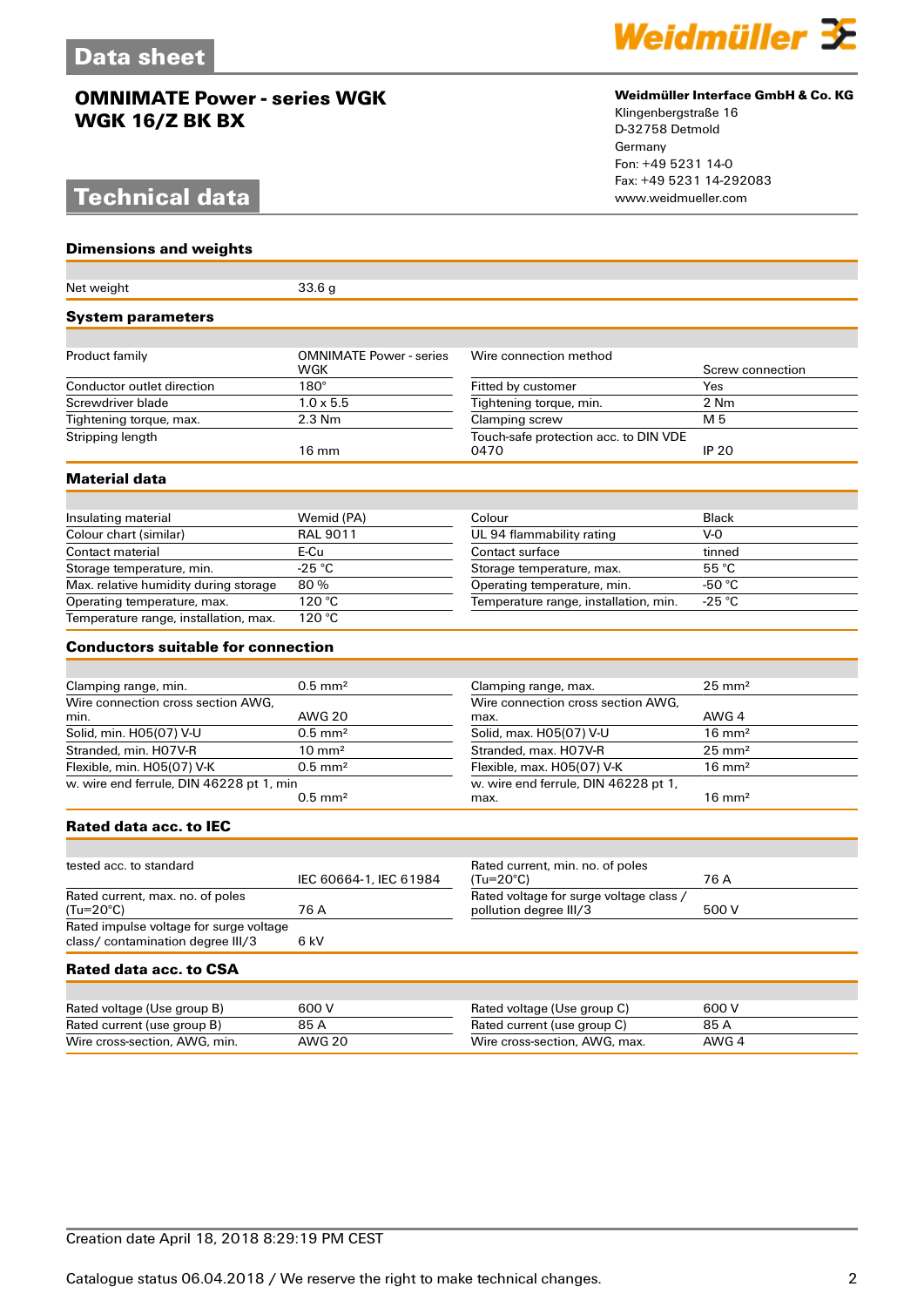# **Technical data**

**Dimensions and weights**



#### **Weidmüller Interface GmbH & Co. KG**

Klingenbergstraße 16 D-32758 Detmold Germany Fon: +49 5231 14-0 Fax: +49 5231 14-292083

| Net weight                                                                   | 33.6 <sub>g</sub>                     |                                                                   |                   |  |  |
|------------------------------------------------------------------------------|---------------------------------------|-------------------------------------------------------------------|-------------------|--|--|
| <b>System parameters</b>                                                     |                                       |                                                                   |                   |  |  |
|                                                                              |                                       |                                                                   |                   |  |  |
| Product family                                                               | <b>OMNIMATE Power - series</b><br>WGK | Wire connection method                                            | Screw connection  |  |  |
| Conductor outlet direction                                                   | $180^\circ$                           | Fitted by customer                                                | Yes               |  |  |
| Screwdriver blade                                                            | $1.0 \times 5.5$                      | Tightening torque, min.                                           | 2 Nm              |  |  |
| Tightening torque, max.                                                      | 2.3 Nm                                | Clamping screw                                                    | M 5               |  |  |
| Stripping length                                                             | $16 \text{ mm}$                       | Touch-safe protection acc. to DIN VDE<br>0470                     | <b>IP 20</b>      |  |  |
| Material data                                                                |                                       |                                                                   |                   |  |  |
|                                                                              |                                       |                                                                   |                   |  |  |
| Insulating material                                                          | Wemid (PA)                            | Colour                                                            | <b>Black</b>      |  |  |
| Colour chart (similar)                                                       | <b>RAL 9011</b>                       | UL 94 flammability rating                                         | $V - 0$           |  |  |
| Contact material                                                             | E-Cu                                  | Contact surface                                                   | tinned            |  |  |
| Storage temperature, min.                                                    | $-25 °C$                              | Storage temperature, max.                                         | 55 °C             |  |  |
| Max. relative humidity during storage                                        | 80%                                   | Operating temperature, min.                                       | -50 $^{\circ}$ C  |  |  |
| Operating temperature, max.                                                  | 120 °C                                | Temperature range, installation, min.                             | -25 $\degree$ C   |  |  |
| Temperature range, installation, max.                                        | 120 °C                                |                                                                   |                   |  |  |
| <b>Conductors suitable for connection</b>                                    |                                       |                                                                   |                   |  |  |
|                                                                              |                                       |                                                                   |                   |  |  |
| Clamping range, min.                                                         | $0.5$ mm <sup>2</sup>                 | Clamping range, max.                                              | $25 \text{ mm}^2$ |  |  |
| Wire connection cross section AWG.<br>min.                                   | <b>AWG 20</b>                         | Wire connection cross section AWG.<br>max.                        | AWG 4             |  |  |
| Solid, min. H05(07) V-U                                                      | $0.5$ mm <sup>2</sup>                 | Solid, max. H05(07) V-U                                           | $16 \text{ mm}^2$ |  |  |
| Stranded, min. H07V-R                                                        | $10 \text{ mm}^2$                     | Stranded, max. H07V-R                                             | $25 \text{ mm}^2$ |  |  |
| Flexible, min. H05(07) V-K                                                   | $0.5$ mm <sup>2</sup>                 | Flexible, max. H05(07) V-K                                        | $16 \text{ mm}^2$ |  |  |
| w. wire end ferrule, DIN 46228 pt 1, min                                     | $0.5$ mm <sup>2</sup>                 | w. wire end ferrule, DIN 46228 pt 1,<br>max.                      | $16 \text{ mm}^2$ |  |  |
| Rated data acc. to IEC                                                       |                                       |                                                                   |                   |  |  |
|                                                                              |                                       |                                                                   |                   |  |  |
| tested acc. to standard                                                      | IEC 60664-1, IEC 61984                | Rated current, min. no. of poles<br>(Tu=20°C)                     | 76 A              |  |  |
| Rated current, max. no. of poles<br>(Tu=20°C)                                | 76 A                                  | Rated voltage for surge voltage class /<br>pollution degree III/3 | 500 V             |  |  |
| Rated impulse voltage for surge voltage<br>class/ contamination degree III/3 | 6 kV                                  |                                                                   |                   |  |  |
| Rated data acc. to CSA                                                       |                                       |                                                                   |                   |  |  |
|                                                                              |                                       |                                                                   |                   |  |  |
| Rated voltage (Use group B)                                                  | 600 V                                 | Rated voltage (Use group C)                                       | 600 V             |  |  |
| Rated current (use group B)                                                  | 85 A                                  | Rated current (use group C)                                       | 85 A              |  |  |
| Wire cross-section, AWG, min.                                                | <b>AWG 20</b>                         | Wire cross-section, AWG, max.                                     | AWG 4             |  |  |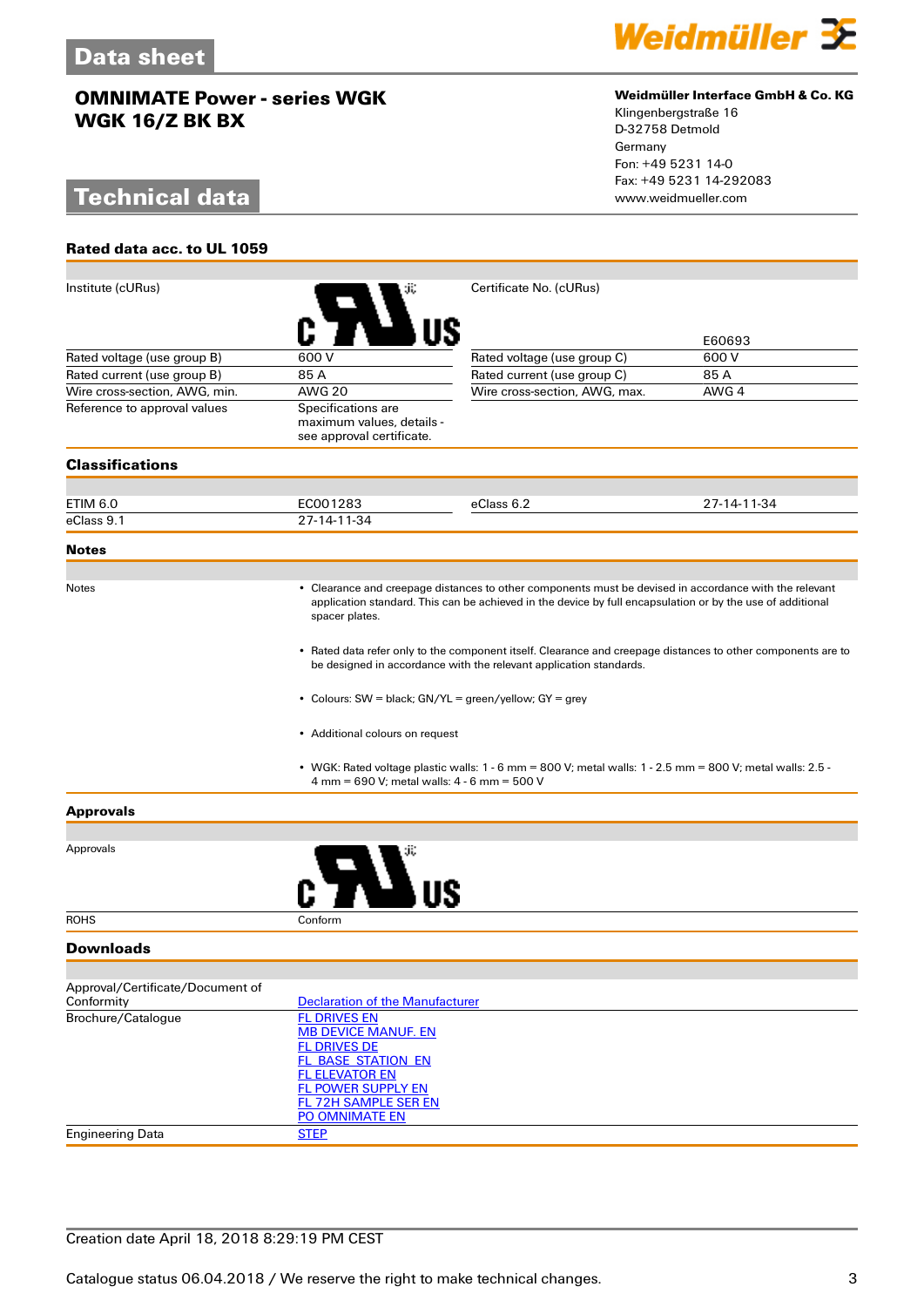# **Technical data**

**Rated data acc. to UL 1059**



#### **Weidmüller Interface GmbH & Co. KG**

Klingenbergstraße 16 D-32758 Detmold Germany Fon: +49 5231 14-0 Fax: +49 5231 14-292083

| Institute (cURus)                              |                                                                                                                                                                                                                                                                                 | Certificate No. (cURus)                                                                                   |             |  |  |
|------------------------------------------------|---------------------------------------------------------------------------------------------------------------------------------------------------------------------------------------------------------------------------------------------------------------------------------|-----------------------------------------------------------------------------------------------------------|-------------|--|--|
|                                                |                                                                                                                                                                                                                                                                                 |                                                                                                           | E60693      |  |  |
| Rated voltage (use group B)                    | 600V                                                                                                                                                                                                                                                                            | Rated voltage (use group C)                                                                               | 600 V       |  |  |
| Rated current (use group B)                    | 85 A                                                                                                                                                                                                                                                                            | Rated current (use group C)                                                                               | 85 A        |  |  |
| Wire cross-section, AWG, min.                  | <b>AWG 20</b>                                                                                                                                                                                                                                                                   | Wire cross-section, AWG, max.                                                                             | AWG 4       |  |  |
| Reference to approval values                   | Specifications are<br>maximum values, details -<br>see approval certificate.                                                                                                                                                                                                    |                                                                                                           |             |  |  |
| <b>Classifications</b>                         |                                                                                                                                                                                                                                                                                 |                                                                                                           |             |  |  |
|                                                |                                                                                                                                                                                                                                                                                 |                                                                                                           |             |  |  |
| ETIM 6.0                                       | EC001283                                                                                                                                                                                                                                                                        | eClass 6.2                                                                                                | 27-14-11-34 |  |  |
| eClass 9.1                                     | 27-14-11-34                                                                                                                                                                                                                                                                     |                                                                                                           |             |  |  |
| <b>Notes</b>                                   |                                                                                                                                                                                                                                                                                 |                                                                                                           |             |  |  |
| <b>Notes</b>                                   | • Clearance and creepage distances to other components must be devised in accordance with the relevant<br>application standard. This can be achieved in the device by full encapsulation or by the use of additional<br>spacer plates.                                          |                                                                                                           |             |  |  |
|                                                | • Rated data refer only to the component itself. Clearance and creepage distances to other components are to<br>be designed in accordance with the relevant application standards.<br>• Colours: SW = black; GN/YL = green/yellow; GY = grey<br>• Additional colours on request |                                                                                                           |             |  |  |
|                                                |                                                                                                                                                                                                                                                                                 |                                                                                                           |             |  |  |
|                                                |                                                                                                                                                                                                                                                                                 |                                                                                                           |             |  |  |
|                                                | 4 mm = 690 V; metal walls: 4 - 6 mm = 500 V                                                                                                                                                                                                                                     | • WGK: Rated voltage plastic walls: 1 - 6 mm = 800 V; metal walls: 1 - 2.5 mm = 800 V; metal walls: 2.5 - |             |  |  |
| <b>Approvals</b>                               |                                                                                                                                                                                                                                                                                 |                                                                                                           |             |  |  |
| Approvals                                      |                                                                                                                                                                                                                                                                                 |                                                                                                           |             |  |  |
|                                                |                                                                                                                                                                                                                                                                                 |                                                                                                           |             |  |  |
| <b>ROHS</b>                                    | Conform                                                                                                                                                                                                                                                                         |                                                                                                           |             |  |  |
| <b>Downloads</b>                               |                                                                                                                                                                                                                                                                                 |                                                                                                           |             |  |  |
|                                                |                                                                                                                                                                                                                                                                                 |                                                                                                           |             |  |  |
| Approval/Certificate/Document of<br>Conformity | <b>Declaration of the Manufacturer</b>                                                                                                                                                                                                                                          |                                                                                                           |             |  |  |
| Brochure/Catalogue                             | <b>FL DRIVES EN</b><br><b>MB DEVICE MANUF. EN</b><br><b>FL DRIVES DE</b><br><b>FL BASE STATION EN</b><br><b>FL ELEVATOR EN</b><br>FL POWER SUPPLY EN<br><b>FL 72H SAMPLE SER EN</b><br>PO OMNIMATE EN                                                                           |                                                                                                           |             |  |  |
| <b>Engineering Data</b>                        | <b>STEP</b>                                                                                                                                                                                                                                                                     |                                                                                                           |             |  |  |
|                                                |                                                                                                                                                                                                                                                                                 |                                                                                                           |             |  |  |

### Creation date April 18, 2018 8:29:19 PM CEST

Catalogue status 06.04.2018 / We reserve the right to make technical changes. 33